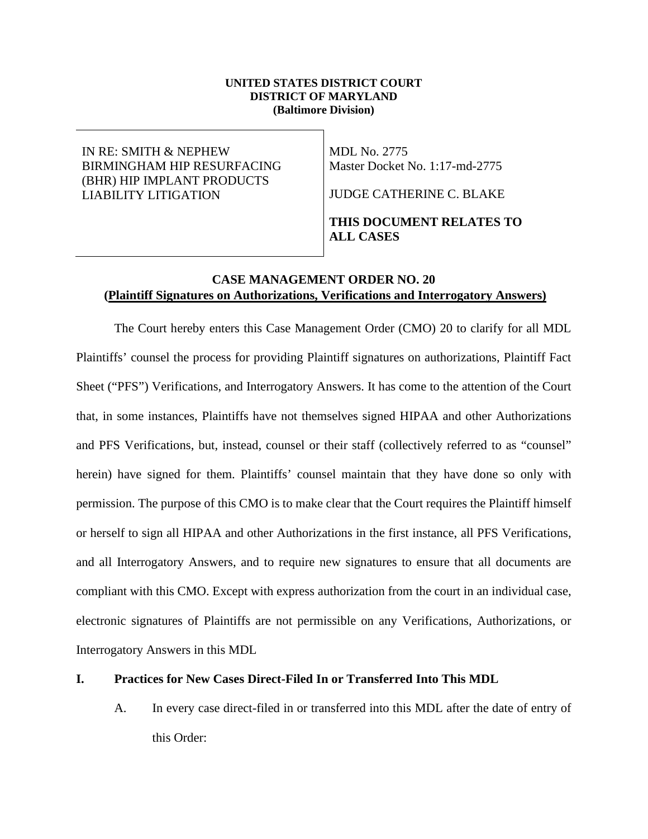#### **UNITED STATES DISTRICT COURT DISTRICT OF MARYLAND (Baltimore Division)**

## IN RE: SMITH & NEPHEW BIRMINGHAM HIP RESURFACING (BHR) HIP IMPLANT PRODUCTS LIABILITY LITIGATION

MDL No. 2775 Master Docket No. 1:17-md-2775

JUDGE CATHERINE C. BLAKE

# **THIS DOCUMENT RELATES TO ALL CASES**

# **CASE MANAGEMENT ORDER NO. 20 (Plaintiff Signatures on Authorizations, Verifications and Interrogatory Answers)**

The Court hereby enters this Case Management Order (CMO) 20 to clarify for all MDL Plaintiffs' counsel the process for providing Plaintiff signatures on authorizations, Plaintiff Fact Sheet ("PFS") Verifications, and Interrogatory Answers. It has come to the attention of the Court that, in some instances, Plaintiffs have not themselves signed HIPAA and other Authorizations and PFS Verifications, but, instead, counsel or their staff (collectively referred to as "counsel" herein) have signed for them. Plaintiffs' counsel maintain that they have done so only with permission. The purpose of this CMO is to make clear that the Court requires the Plaintiff himself or herself to sign all HIPAA and other Authorizations in the first instance, all PFS Verifications, and all Interrogatory Answers, and to require new signatures to ensure that all documents are compliant with this CMO. Except with express authorization from the court in an individual case, electronic signatures of Plaintiffs are not permissible on any Verifications, Authorizations, or Interrogatory Answers in this MDL

### **I. Practices for New Cases Direct-Filed In or Transferred Into This MDL**

A. In every case direct-filed in or transferred into this MDL after the date of entry of this Order: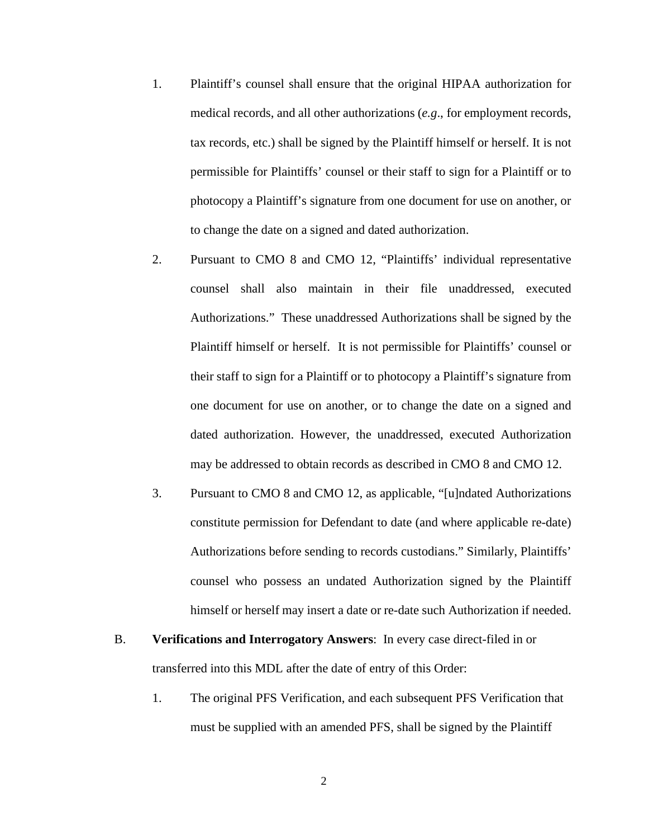- 1. Plaintiff's counsel shall ensure that the original HIPAA authorization for medical records, and all other authorizations (*e.g*., for employment records, tax records, etc.) shall be signed by the Plaintiff himself or herself. It is not permissible for Plaintiffs' counsel or their staff to sign for a Plaintiff or to photocopy a Plaintiff's signature from one document for use on another, or to change the date on a signed and dated authorization.
- 2. Pursuant to CMO 8 and CMO 12, "Plaintiffs' individual representative counsel shall also maintain in their file unaddressed, executed Authorizations." These unaddressed Authorizations shall be signed by the Plaintiff himself or herself. It is not permissible for Plaintiffs' counsel or their staff to sign for a Plaintiff or to photocopy a Plaintiff's signature from one document for use on another, or to change the date on a signed and dated authorization. However, the unaddressed, executed Authorization may be addressed to obtain records as described in CMO 8 and CMO 12.
- 3. Pursuant to CMO 8 and CMO 12, as applicable, "[u]ndated Authorizations constitute permission for Defendant to date (and where applicable re-date) Authorizations before sending to records custodians." Similarly, Plaintiffs' counsel who possess an undated Authorization signed by the Plaintiff himself or herself may insert a date or re-date such Authorization if needed.
- B. **Verifications and Interrogatory Answers**: In every case direct-filed in or transferred into this MDL after the date of entry of this Order:
	- 1. The original PFS Verification, and each subsequent PFS Verification that must be supplied with an amended PFS, shall be signed by the Plaintiff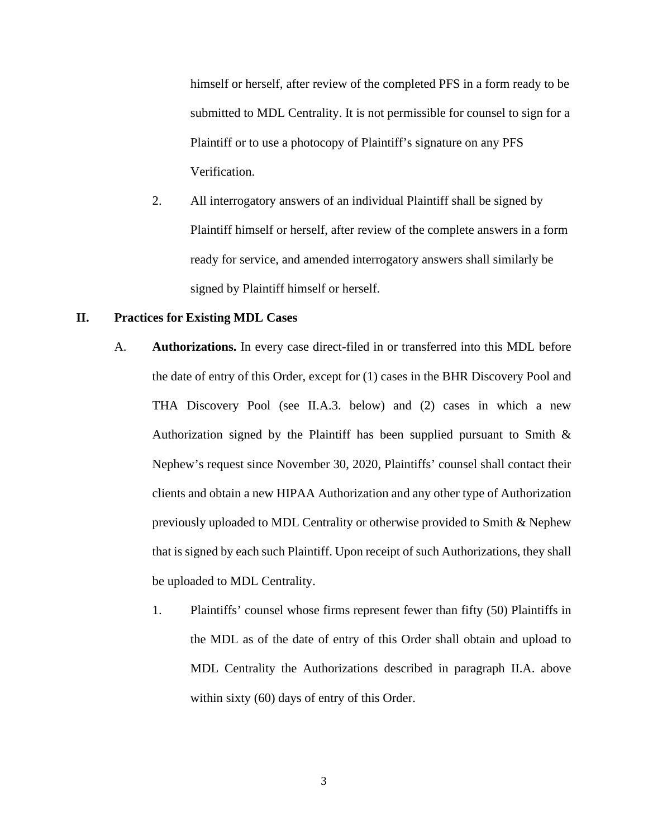himself or herself, after review of the completed PFS in a form ready to be submitted to MDL Centrality. It is not permissible for counsel to sign for a Plaintiff or to use a photocopy of Plaintiff's signature on any PFS Verification.

2. All interrogatory answers of an individual Plaintiff shall be signed by Plaintiff himself or herself, after review of the complete answers in a form ready for service, and amended interrogatory answers shall similarly be signed by Plaintiff himself or herself.

### **II. Practices for Existing MDL Cases**

- A. **Authorizations.** In every case direct-filed in or transferred into this MDL before the date of entry of this Order, except for (1) cases in the BHR Discovery Pool and THA Discovery Pool (see II.A.3. below) and (2) cases in which a new Authorization signed by the Plaintiff has been supplied pursuant to Smith & Nephew's request since November 30, 2020, Plaintiffs' counsel shall contact their clients and obtain a new HIPAA Authorization and any other type of Authorization previously uploaded to MDL Centrality or otherwise provided to Smith & Nephew that is signed by each such Plaintiff. Upon receipt of such Authorizations, they shall be uploaded to MDL Centrality.
	- 1. Plaintiffs' counsel whose firms represent fewer than fifty (50) Plaintiffs in the MDL as of the date of entry of this Order shall obtain and upload to MDL Centrality the Authorizations described in paragraph II.A. above within sixty (60) days of entry of this Order.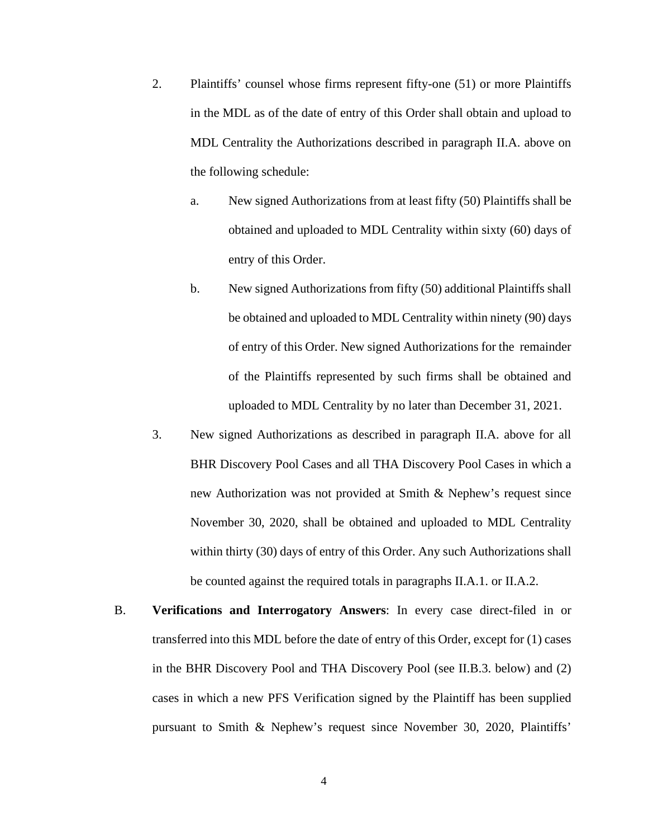- 2. Plaintiffs' counsel whose firms represent fifty-one (51) or more Plaintiffs in the MDL as of the date of entry of this Order shall obtain and upload to MDL Centrality the Authorizations described in paragraph II.A. above on the following schedule:
	- a. New signed Authorizations from at least fifty (50) Plaintiffs shall be obtained and uploaded to MDL Centrality within sixty (60) days of entry of this Order.
	- b. New signed Authorizations from fifty (50) additional Plaintiffs shall be obtained and uploaded to MDL Centrality within ninety (90) days of entry of this Order. New signed Authorizations for the remainder of the Plaintiffs represented by such firms shall be obtained and uploaded to MDL Centrality by no later than December 31, 2021.
- 3. New signed Authorizations as described in paragraph II.A. above for all BHR Discovery Pool Cases and all THA Discovery Pool Cases in which a new Authorization was not provided at Smith & Nephew's request since November 30, 2020, shall be obtained and uploaded to MDL Centrality within thirty (30) days of entry of this Order. Any such Authorizations shall be counted against the required totals in paragraphs II.A.1. or II.A.2.
- B. **Verifications and Interrogatory Answers**: In every case direct-filed in or transferred into this MDL before the date of entry of this Order, except for (1) cases in the BHR Discovery Pool and THA Discovery Pool (see II.B.3. below) and (2) cases in which a new PFS Verification signed by the Plaintiff has been supplied pursuant to Smith & Nephew's request since November 30, 2020, Plaintiffs'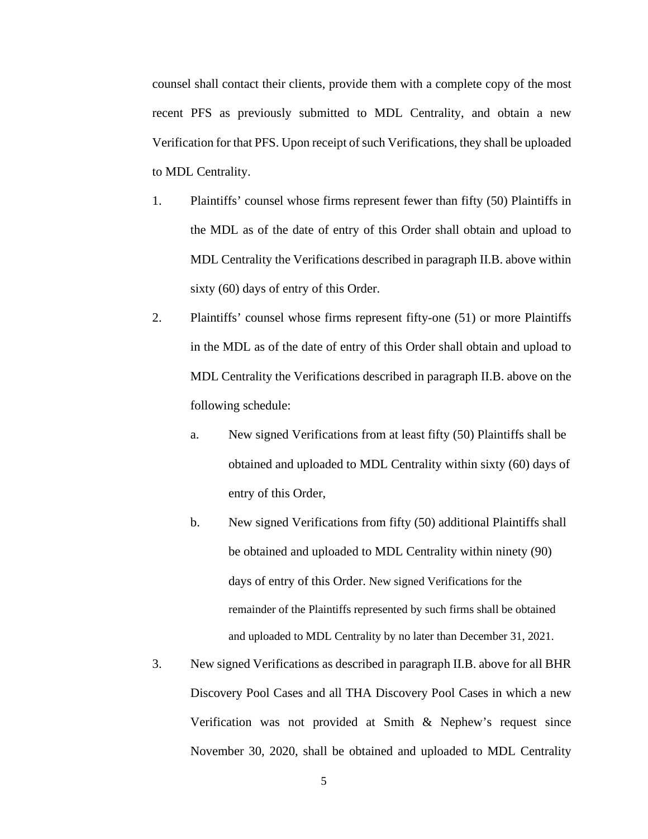counsel shall contact their clients, provide them with a complete copy of the most recent PFS as previously submitted to MDL Centrality, and obtain a new Verification for that PFS. Upon receipt of such Verifications, they shall be uploaded to MDL Centrality.

- 1. Plaintiffs' counsel whose firms represent fewer than fifty (50) Plaintiffs in the MDL as of the date of entry of this Order shall obtain and upload to MDL Centrality the Verifications described in paragraph II.B. above within sixty (60) days of entry of this Order.
- 2. Plaintiffs' counsel whose firms represent fifty-one (51) or more Plaintiffs in the MDL as of the date of entry of this Order shall obtain and upload to MDL Centrality the Verifications described in paragraph II.B. above on the following schedule:
	- a. New signed Verifications from at least fifty (50) Plaintiffs shall be obtained and uploaded to MDL Centrality within sixty (60) days of entry of this Order,
	- b. New signed Verifications from fifty (50) additional Plaintiffs shall be obtained and uploaded to MDL Centrality within ninety (90) days of entry of this Order. New signed Verifications for the remainder of the Plaintiffs represented by such firms shall be obtained and uploaded to MDL Centrality by no later than December 31, 2021.
- 3. New signed Verifications as described in paragraph II.B. above for all BHR Discovery Pool Cases and all THA Discovery Pool Cases in which a new Verification was not provided at Smith & Nephew's request since November 30, 2020, shall be obtained and uploaded to MDL Centrality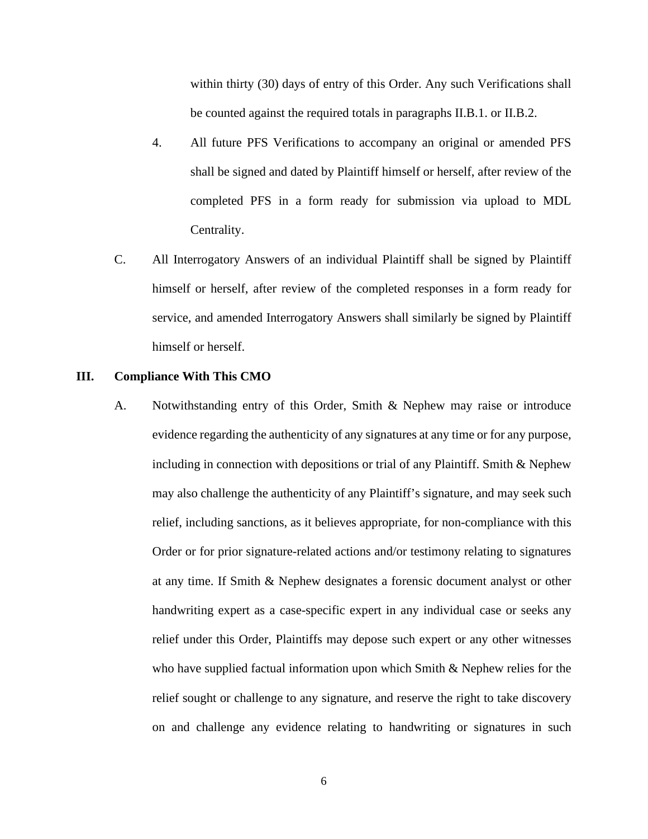within thirty (30) days of entry of this Order. Any such Verifications shall be counted against the required totals in paragraphs II.B.1. or II.B.2.

- 4. All future PFS Verifications to accompany an original or amended PFS shall be signed and dated by Plaintiff himself or herself, after review of the completed PFS in a form ready for submission via upload to MDL Centrality.
- C. All Interrogatory Answers of an individual Plaintiff shall be signed by Plaintiff himself or herself, after review of the completed responses in a form ready for service, and amended Interrogatory Answers shall similarly be signed by Plaintiff himself or herself.

#### **III. Compliance With This CMO**

A. Notwithstanding entry of this Order, Smith & Nephew may raise or introduce evidence regarding the authenticity of any signatures at any time or for any purpose, including in connection with depositions or trial of any Plaintiff. Smith & Nephew may also challenge the authenticity of any Plaintiff's signature, and may seek such relief, including sanctions, as it believes appropriate, for non-compliance with this Order or for prior signature-related actions and/or testimony relating to signatures at any time. If Smith & Nephew designates a forensic document analyst or other handwriting expert as a case-specific expert in any individual case or seeks any relief under this Order, Plaintiffs may depose such expert or any other witnesses who have supplied factual information upon which Smith & Nephew relies for the relief sought or challenge to any signature, and reserve the right to take discovery on and challenge any evidence relating to handwriting or signatures in such